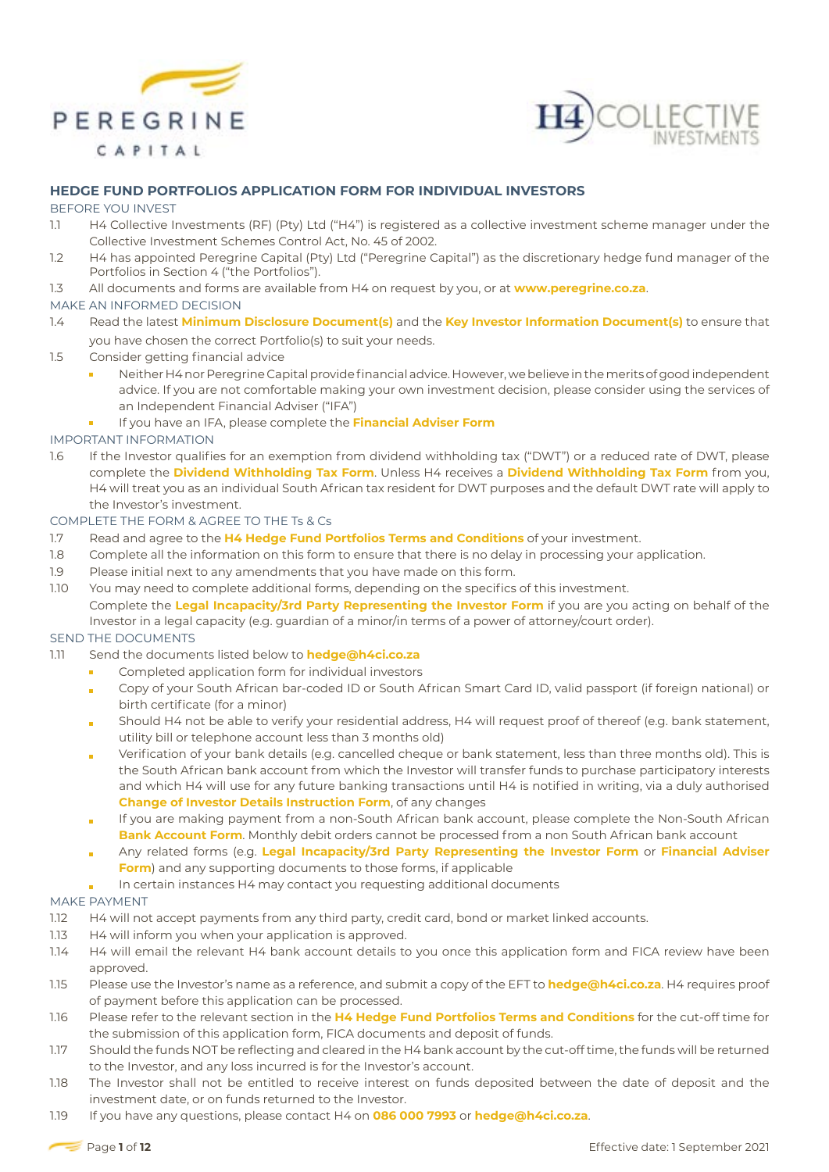



## **HEDGE FUND PORTFOLIOS APPLICATION FORM FOR INDIVIDUAL INVESTORS**

#### BEFORE YOU INVEST

- 1.1 H4 Collective Investments (RF) (Pty) Ltd ("H4") is registered as a collective investment scheme manager under the Collective Investment Schemes Control Act, No. 45 of 2002.
- 1.2 H4 has appointed Peregrine Capital (Pty) Ltd ("Peregrine Capital") as the discretionary hedge fund manager of the Portfolios in Section 4 ("the Portfolios").
- 1.3 All documents and forms are available from H4 on request by you, or at **www.peregrine.co.za**.

## MAKE AN INFORMED DECISION

- 1.4 Read the latest **Minimum Disclosure Document(s)** and the **Key Investor Information Document(s)** to ensure that you have chosen the correct Portfolio(s) to suit your needs.
- 1.5 Consider getting financial advice
	- Neither H4 nor Peregrine Capital provide financial advice. However, we believe in the merits of good independent advice. If you are not comfortable making your own investment decision, please consider using the services of an Independent Financial Adviser ("IFA")
	- If you have an IFA, please complete the **Financial Adviser Form**

## IMPORTANT INFORMATION

1.6 If the Investor qualifies for an exemption from dividend withholding tax ("DWT") or a reduced rate of DWT, please complete the **Dividend Withholding Tax Form**. Unless H4 receives a **Dividend Withholding Tax Form** from you, H4 will treat you as an individual South African tax resident for DWT purposes and the default DWT rate will apply to the Investor's investment.

## COMPLETE THE FORM & AGREE TO THE Ts & Cs

- 1.7 Read and agree to the **H4 Hedge Fund Portfolios Terms and Conditions** of your investment.
- 1.8 Complete all the information on this form to ensure that there is no delay in processing your application.
- 1.9 Please initial next to any amendments that you have made on this form.
- 1.10 You may need to complete additional forms, depending on the specifics of this investment.

Complete the **Legal Incapacity/3rd Party Representing the Investor Form** if you are you acting on behalf of the Investor in a legal capacity (e.g. guardian of a minor/in terms of a power of attorney/court order).

# SEND THE DOCUMENTS

- 1.11 Send the documents listed below to **hedge@h4ci.co.za**
	- Completed application form for individual investors
	- Copy of your South African bar-coded ID or South African Smart Card ID, valid passport (if foreign national) or ř. birth certificate (for a minor)
	- Should H4 not be able to verify your residential address, H4 will request proof of thereof (e.g. bank statement, utility bill or telephone account less than 3 months old)
	- Verification of your bank details (e.g. cancelled cheque or bank statement, less than three months old). This is ċ the South African bank account from which the Investor will transfer funds to purchase participatory interests and which H4 will use for any future banking transactions until H4 is notified in writing, via a duly authorised **Change of Investor Details Instruction Form**, of any changes
	- If you are making payment from a non-South African bank account, please complete the Non-South African **Bank Account Form**. Monthly debit orders cannot be processed from a non South African bank account
	- Any related forms (e.g. **Legal Incapacity/3rd Party Representing the Investor Form** or **Financial Adviser Form**) and any supporting documents to those forms, if applicable
	- In certain instances H4 may contact you requesting additional documents ò

#### MAKE PAYMENT

- 1.12 H4 will not accept payments from any third party, credit card, bond or market linked accounts.
- 1.13 H4 will inform you when your application is approved.
- 1.14 H4 will email the relevant H4 bank account details to you once this application form and FICA review have been approved.
- 1.15 Please use the Investor's name as a reference, and submit a copy of the EFT to **hedge@h4ci.co.za**. H4 requires proof of payment before this application can be processed.
- 1.16 Please refer to the relevant section in the **H4 Hedge Fund Portfolios Terms and Conditions** for the cut-off time for the submission of this application form, FICA documents and deposit of funds.
- 1.17 Should the funds NOT be reflecting and cleared in the H4 bank account by the cut-off time, the funds will be returned to the Investor, and any loss incurred is for the Investor's account.
- 1.18 The Investor shall not be entitled to receive interest on funds deposited between the date of deposit and the investment date, or on funds returned to the Investor.
- 1.19 If you have any questions, please contact H4 on **086 000 7993** or **hedge@h4ci.co.za**.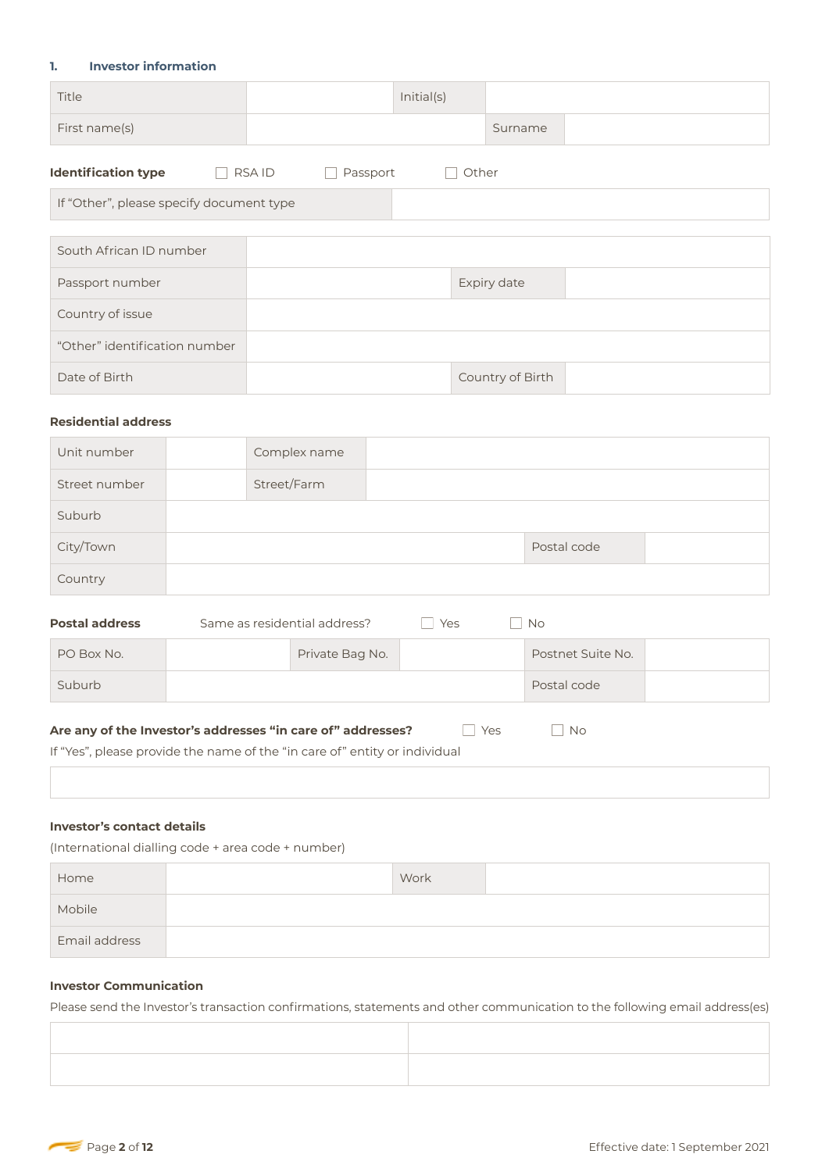## **1. Investor information**

| Title         | Initial(s) |         |  |
|---------------|------------|---------|--|
| First name(s) |            | Surname |  |
|               |            |         |  |

| <b>Identification type</b>               | <b>RSAID</b><br>Passport | Other            |  |
|------------------------------------------|--------------------------|------------------|--|
| If "Other", please specify document type |                          |                  |  |
|                                          |                          |                  |  |
| South African ID number                  |                          |                  |  |
| Passport number                          |                          | Expiry date      |  |
| Country of issue                         |                          |                  |  |
| "Other" identification number            |                          |                  |  |
| Date of Birth                            |                          | Country of Birth |  |
|                                          |                          |                  |  |

## **Residential address**

| Unit number   | Complex name |             |  |
|---------------|--------------|-------------|--|
| Street number | Street/Farm  |             |  |
| Suburb        |              |             |  |
| City/Town     |              | Postal code |  |
| Country       |              |             |  |

| <b>Postal address</b>                                                                                                                            | Same as residential address? |                 | Yes | <b>No</b>         |  |
|--------------------------------------------------------------------------------------------------------------------------------------------------|------------------------------|-----------------|-----|-------------------|--|
| PO Box No.                                                                                                                                       |                              | Private Bag No. |     | Postnet Suite No. |  |
| Suburb                                                                                                                                           |                              |                 |     | Postal code       |  |
| Are any of the Investor's addresses "in care of" addresses?<br>Yes<br>If "Yes", please provide the name of the "in care of" entity or individual |                              |                 |     | <b>No</b>         |  |

# **Investor's contact details**

(International dialling code + area code + number)

| Home          | Work |  |
|---------------|------|--|
| Mobile        |      |  |
| Email address |      |  |

# **Investor Communication**

Please send the Investor's transaction confirmations, statements and other communication to the following email address(es)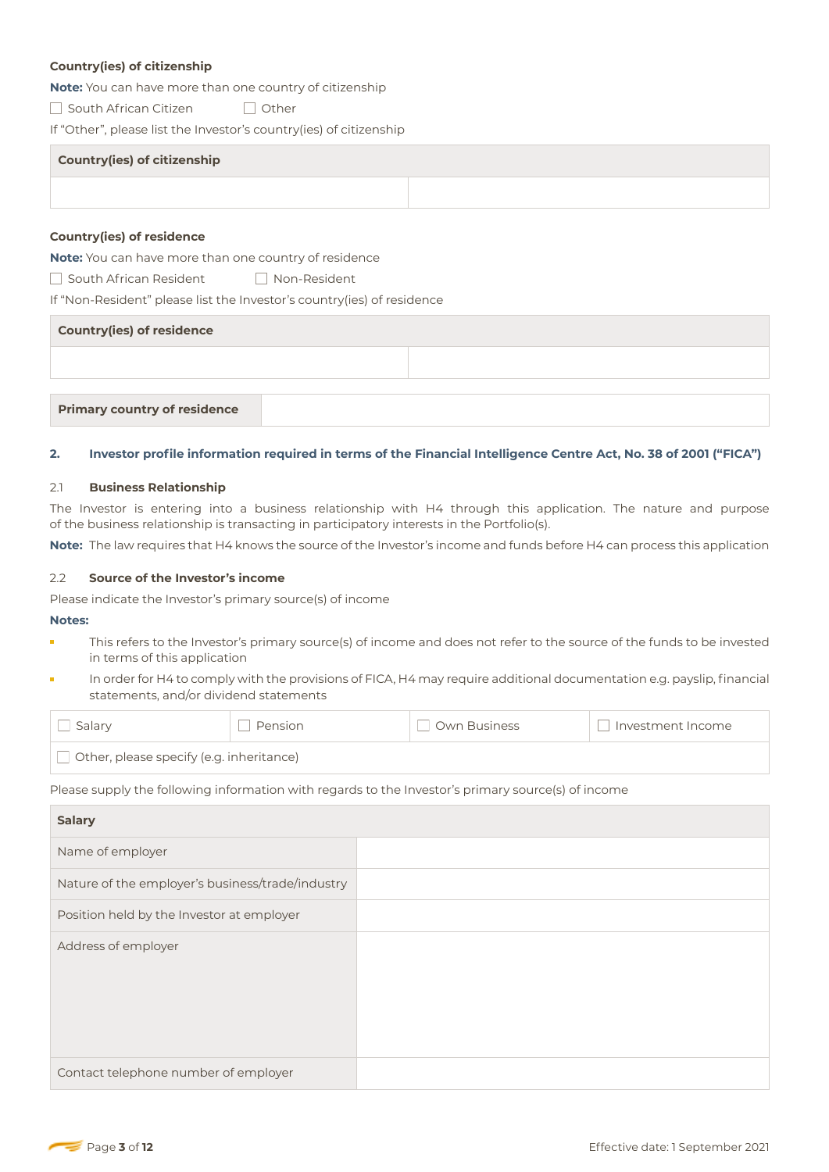## **Country(ies) of citizenship**

**Note:** You can have more than one country of citizenship

□ South African Citizen □ Other

If "Other", please list the Investor's country(ies) of citizenship

| <b>Country(ies) of citizenship</b> |  |
|------------------------------------|--|
|                                    |  |

#### **Country(ies) of residence**

**Note:** You can have more than one country of residence

South African ResidentNon-Resident

If "Non-Resident" please list the Investor's country(ies) of residence

| <b>Country(ies) of residence</b>    |  |  |  |  |
|-------------------------------------|--|--|--|--|
|                                     |  |  |  |  |
|                                     |  |  |  |  |
| <b>Primary country of residence</b> |  |  |  |  |

#### **2. Investor profile information required in terms of the Financial Intelligence Centre Act, No. 38 of 2001 ("FICA")**

#### 2.1 **Business Relationship**

The Investor is entering into a business relationship with H4 through this application. The nature and purpose of the business relationship is transacting in participatory interests in the Portfolio(s).

**Note:** The law requires that H4 knows the source of the Investor's income and funds before H4 can process this application

#### 2.2 **Source of the Investor's income**

Please indicate the Investor's primary source(s) of income

#### **Notes:**

- This refers to the Investor's primary source(s) of income and does not refer to the source of the funds to be invested in terms of this application
- In order for H4 to comply with the provisions of FICA, H4 may require additional documentation e.g. payslip, financial statements, and/or dividend statements

| Salarv                                          | Pension | Own Business | Investment Income |  |
|-------------------------------------------------|---------|--------------|-------------------|--|
| $\Box$ Other, please specify (e.g. inheritance) |         |              |                   |  |

Please supply the following information with regards to the Investor's primary source(s) of income

| <b>Salary</b>                                    |  |
|--------------------------------------------------|--|
| Name of employer                                 |  |
| Nature of the employer's business/trade/industry |  |
| Position held by the Investor at employer        |  |
| Address of employer                              |  |
| Contact telephone number of employer             |  |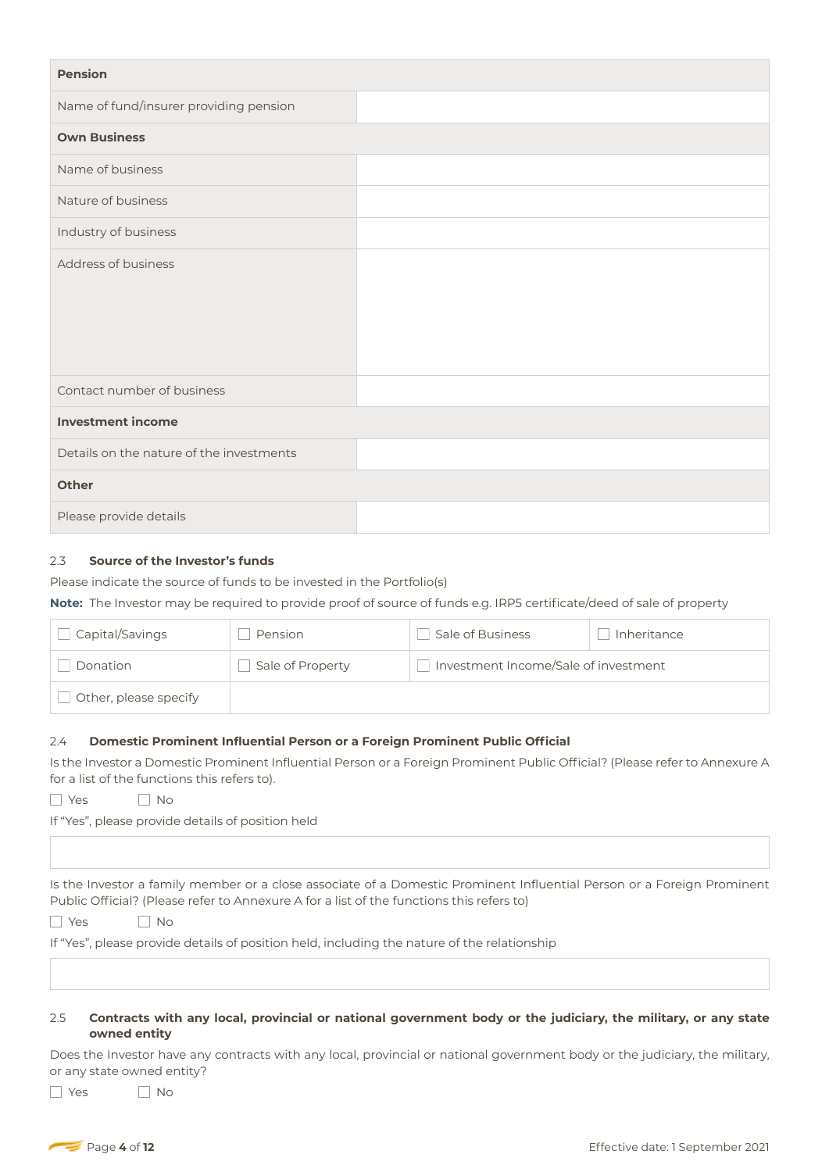| <b>Pension</b>                           |  |
|------------------------------------------|--|
| Name of fund/insurer providing pension   |  |
| <b>Own Business</b>                      |  |
| Name of business                         |  |
| Nature of business                       |  |
| Industry of business                     |  |
| Address of business                      |  |
| Contact number of business               |  |
| <b>Investment income</b>                 |  |
| Details on the nature of the investments |  |
| <b>Other</b>                             |  |
| Please provide details                   |  |

## 2.3 **Source of the Investor's funds**

Please indicate the source of funds to be invested in the Portfolio(s)

**Note:** The Investor may be required to provide proof of source of funds e.g. IRP5 certificate/deed of sale of property

| Capital/Savings       | Pension          | Sale of Business                     | Inheritance |
|-----------------------|------------------|--------------------------------------|-------------|
| Donation              | Sale of Property | Investment Income/Sale of investment |             |
| Other, please specify |                  |                                      |             |

#### 2.4 **Domestic Prominent Influential Person or a Foreign Prominent Public Official**

Is the Investor a Domestic Prominent Influential Person or a Foreign Prominent Public Official? (Please refer to Annexure A for a list of the functions this refers to).

YesNo

If "Yes", please provide details of position held

Is the Investor a family member or a close associate of a Domestic Prominent Influential Person or a Foreign Prominent Public Official? (Please refer to Annexure A for a list of the functions this refers to)

YesNo

If "Yes", please provide details of position held, including the nature of the relationship

## 2.5 **Contracts with any local, provincial or national government body or the judiciary, the military, or any state owned entity**

Does the Investor have any contracts with any local, provincial or national government body or the judiciary, the military, or any state owned entity?

■ Yes No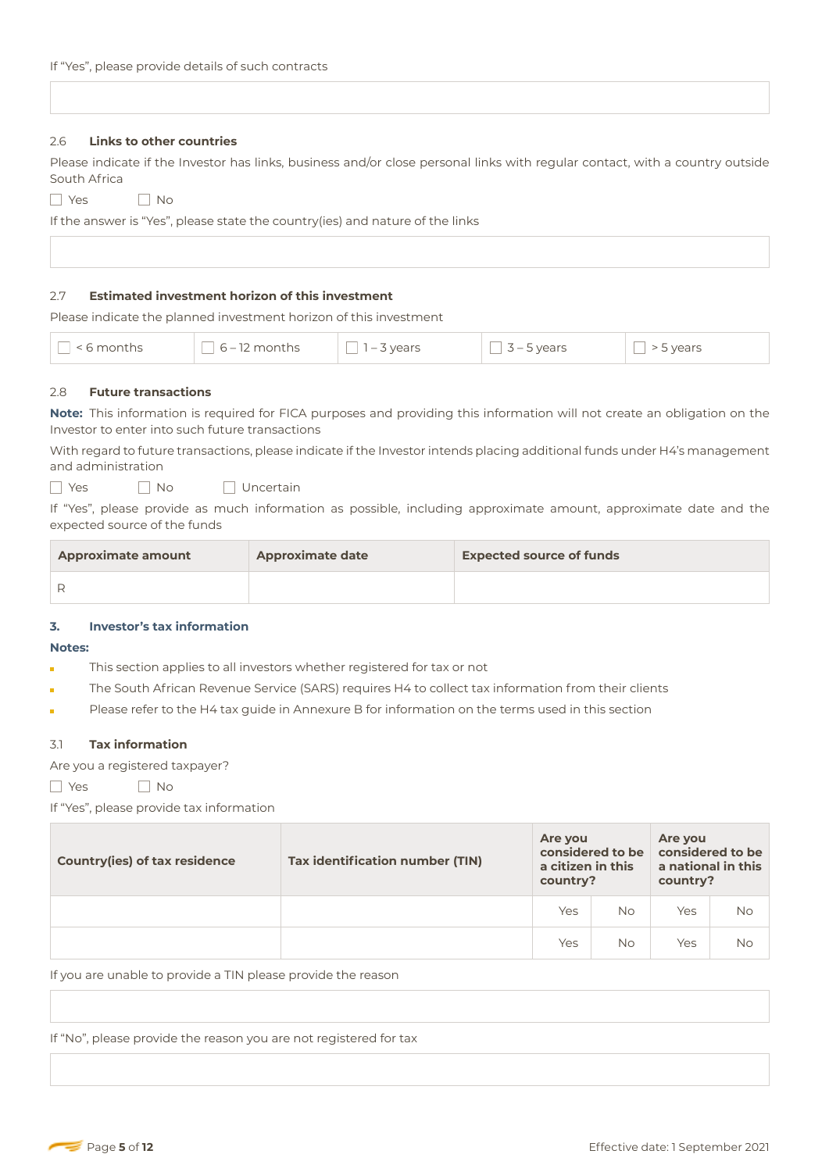#### 2.6 **Links to other countries**

Please indicate if the Investor has links, business and/or close personal links with regular contact, with a country outside South Africa

YesNo

If the answer is "Yes", please state the country(ies) and nature of the links

#### 2.7 **Estimated investment horizon of this investment**

Please indicate the planned investment horizon of this investment

| $^{\circ}$ < 6 months | $\sqrt{6}$ – 12 months | $\sqrt{1-3}$ vears | $3 - 5$ vears | > 5 years |
|-----------------------|------------------------|--------------------|---------------|-----------|
|-----------------------|------------------------|--------------------|---------------|-----------|

## 2.8 **Future transactions**

**Note:** This information is required for FICA purposes and providing this information will not create an obligation on the Investor to enter into such future transactions

With regard to future transactions, please indicate if the Investor intends placing additional funds under H4's management and administration

**No** Uncertain

If "Yes", please provide as much information as possible, including approximate amount, approximate date and the expected source of the funds

| <b>Approximate amount</b> | <b>Approximate date</b> | <b>Expected source of funds</b> |
|---------------------------|-------------------------|---------------------------------|
|                           |                         |                                 |

#### **3. Investor's tax information**

#### **Notes:**

- This section applies to all investors whether registered for tax or not Ĩ.
- The South African Revenue Service (SARS) requires H4 to collect tax information from their clients
- Please refer to the H4 tax guide in Annexure B for information on the terms used in this section

#### 3.1 **Tax information**

Are you a registered taxpayer?

YesNo

If "Yes", please provide tax information

| <b>Country(ies) of tax residence</b> | Tax identification number (TIN) | Are you<br>a citizen in this<br>country? | considered to be | Are you<br>considered to be<br>a national in this<br>country? |           |
|--------------------------------------|---------------------------------|------------------------------------------|------------------|---------------------------------------------------------------|-----------|
|                                      |                                 | Yes                                      | <b>No</b>        | Yes                                                           | No        |
|                                      |                                 | Yes                                      | <b>No</b>        | Yes                                                           | <b>No</b> |

If you are unable to provide a TIN please provide the reason

If "No", please provide the reason you are not registered for tax

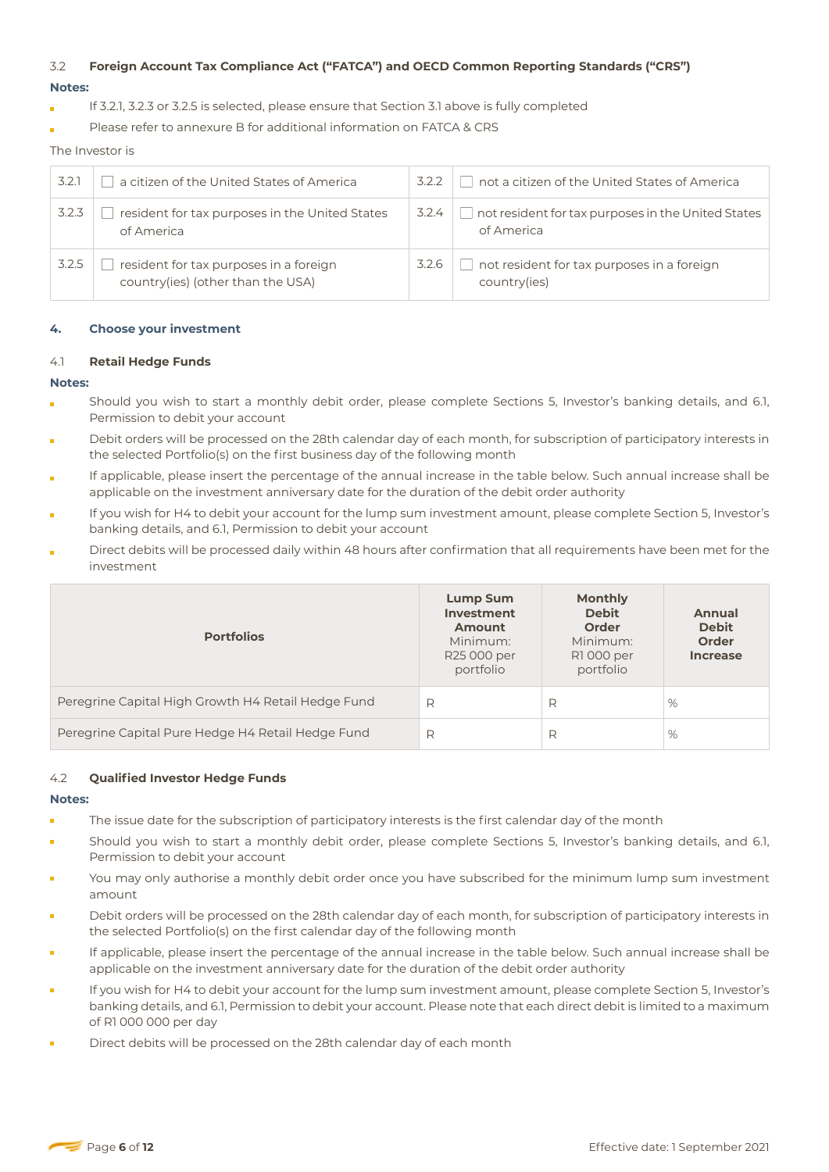# 3.2 **Foreign Account Tax Compliance Act ("FATCA") and OECD Common Reporting Standards ("CRS")**

## **Notes:**

- If 3.2.1, 3.2.3 or 3.2.5 is selected, please ensure that Section 3.1 above is fully completed
- Please refer to annexure B for additional information on FATCA & CRS

The Investor is

| 3.2.1 | a citizen of the United States of America                                   | 3.2.2 | not a citizen of the United States of America                    |
|-------|-----------------------------------------------------------------------------|-------|------------------------------------------------------------------|
| 3.2.3 | resident for tax purposes in the United States<br>of America                | 3.2.4 | not resident for tax purposes in the United States<br>of America |
| 3.2.5 | resident for tax purposes in a foreign<br>country(ies) (other than the USA) | 3.2.6 | not resident for tax purposes in a foreign<br>country(ies)       |

## **4. Choose your investment**

## 4.1 **Retail Hedge Funds**

## **Notes:**

- Should you wish to start a monthly debit order, please complete Sections 5, Investor's banking details, and 6.1, Permission to debit your account
- Debit orders will be processed on the 28th calendar day of each month, for subscription of participatory interests in the selected Portfolio(s) on the first business day of the following month
- If applicable, please insert the percentage of the annual increase in the table below. Such annual increase shall be applicable on the investment anniversary date for the duration of the debit order authority
- If you wish for H4 to debit your account for the lump sum investment amount, please complete Section 5, Investor's banking details, and 6.1, Permission to debit your account
- Direct debits will be processed daily within 48 hours after confirmation that all requirements have been met for the investment

| <b>Portfolios</b>                                  | Lump Sum<br>Investment<br><b>Amount</b><br>Minimum:<br>R25 000 per<br>portfolio | <b>Monthly</b><br><b>Debit</b><br><b>Order</b><br>Minimum:<br>R1000 per<br>portfolio | Annual<br><b>Debit</b><br><b>Order</b><br><b>Increase</b> |
|----------------------------------------------------|---------------------------------------------------------------------------------|--------------------------------------------------------------------------------------|-----------------------------------------------------------|
| Peregrine Capital High Growth H4 Retail Hedge Fund | R                                                                               | R                                                                                    | %                                                         |
| Peregrine Capital Pure Hedge H4 Retail Hedge Fund  | R                                                                               | R                                                                                    | %                                                         |

## 4.2 **Qualified Investor Hedge Funds**

#### **Notes:**

- The issue date for the subscription of participatory interests is the first calendar day of the month
- Should you wish to start a monthly debit order, please complete Sections 5, Investor's banking details, and 6.1, Permission to debit your account
- You may only authorise a monthly debit order once you have subscribed for the minimum lump sum investment amount
- Debit orders will be processed on the 28th calendar day of each month, for subscription of participatory interests in the selected Portfolio(s) on the first calendar day of the following month
- If applicable, please insert the percentage of the annual increase in the table below. Such annual increase shall be applicable on the investment anniversary date for the duration of the debit order authority
- If you wish for H4 to debit your account for the lump sum investment amount, please complete Section 5, Investor's banking details, and 6.1, Permission to debit your account. Please note that each direct debit is limited to a maximum of R1 000 000 per day
- Direct debits will be processed on the 28th calendar day of each month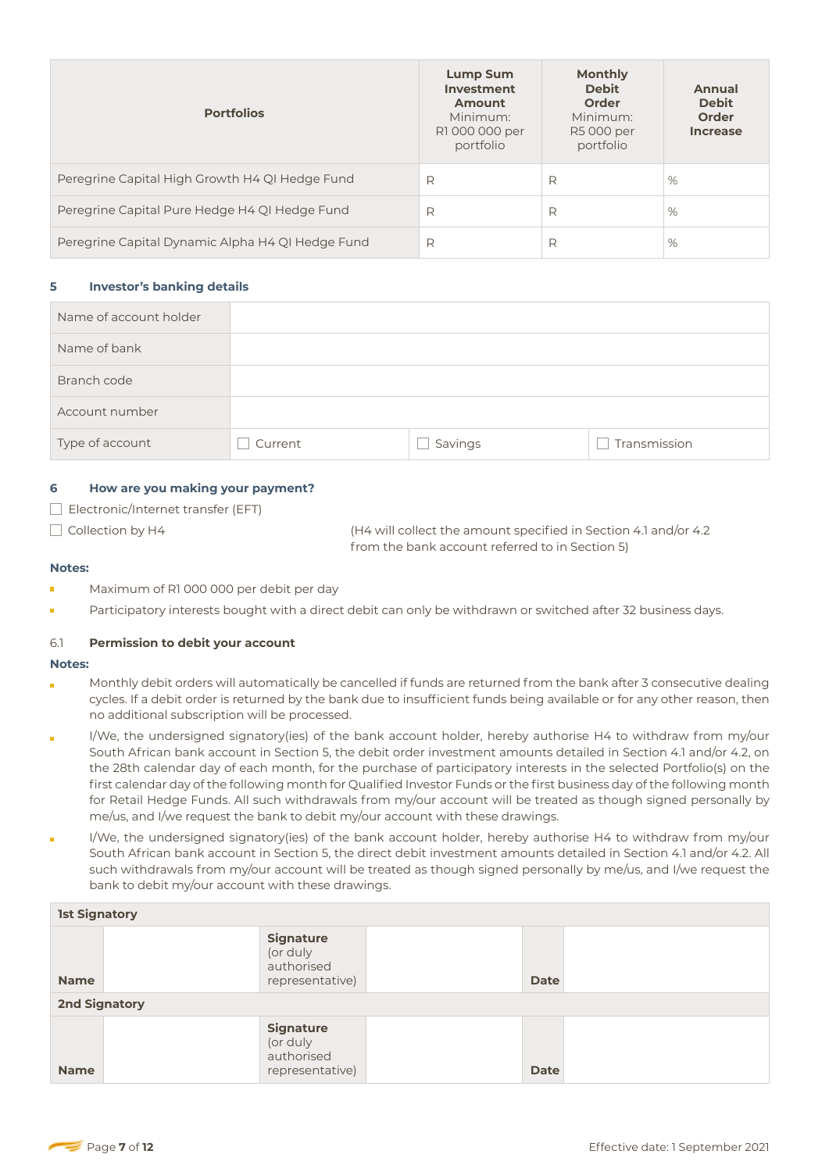| <b>Portfolios</b>                                | <b>Lump Sum</b><br>Investment<br>Amount<br>Minimum:<br>R1 000 000 per<br>portfolio | <b>Monthly</b><br><b>Debit</b><br><b>Order</b><br>Minimum:<br>R5 000 per<br>portfolio | Annual<br><b>Debit</b><br>Order<br><b>Increase</b> |
|--------------------------------------------------|------------------------------------------------------------------------------------|---------------------------------------------------------------------------------------|----------------------------------------------------|
| Peregrine Capital High Growth H4 QI Hedge Fund   | R                                                                                  | R                                                                                     | %                                                  |
| Peregrine Capital Pure Hedge H4 QI Hedge Fund    | R                                                                                  | R                                                                                     | %                                                  |
| Peregrine Capital Dynamic Alpha H4 QI Hedge Fund | R                                                                                  | R                                                                                     | %                                                  |

## **5 Investor's banking details**

| Name of account holder |         |         |              |
|------------------------|---------|---------|--------------|
| Name of bank           |         |         |              |
| Branch code            |         |         |              |
| Account number         |         |         |              |
| Type of account        | Current | Savings | Transmission |

## **6 How are you making your payment?**

**Electronic/Internet transfer (EFT)** 

 Collection by H4 (H4 will collect the amount specified in Section 4.1 and/or 4.2 from the bank account referred to in Section 5)

#### **Notes:**

- Maximum of R1 000 000 per debit per day
- Participatory interests bought with a direct debit can only be withdrawn or switched after 32 business days.

#### 6.1 **Permission to debit your account**

#### **Notes:**

- Monthly debit orders will automatically be cancelled if funds are returned from the bank after 3 consecutive dealing cycles. If a debit order is returned by the bank due to insufficient funds being available or for any other reason, then no additional subscription will be processed.
- I/We, the undersigned signatory(ies) of the bank account holder, hereby authorise H4 to withdraw from my/our South African bank account in Section 5, the debit order investment amounts detailed in Section 4.1 and/or 4.2, on the 28th calendar day of each month, for the purchase of participatory interests in the selected Portfolio(s) on the first calendar day of the following month for Qualified Investor Funds or the first business day of the following month for Retail Hedge Funds. All such withdrawals from my/our account will be treated as though signed personally by me/us, and I/we request the bank to debit my/our account with these drawings.
- I/We, the undersigned signatory(ies) of the bank account holder, hereby authorise H4 to withdraw from my/our South African bank account in Section 5, the direct debit investment amounts detailed in Section 4.1 and/or 4.2. All such withdrawals from my/our account will be treated as though signed personally by me/us, and I/we request the bank to debit my/our account with these drawings.

| <b>1st Signatory</b> |                                                               |  |             |  |
|----------------------|---------------------------------------------------------------|--|-------------|--|
| <b>Name</b>          | <b>Signature</b><br>(or duly<br>authorised<br>representative) |  | <b>Date</b> |  |
| <b>2nd Signatory</b> |                                                               |  |             |  |
| <b>Name</b>          | <b>Signature</b><br>(or duly<br>authorised<br>representative) |  | <b>Date</b> |  |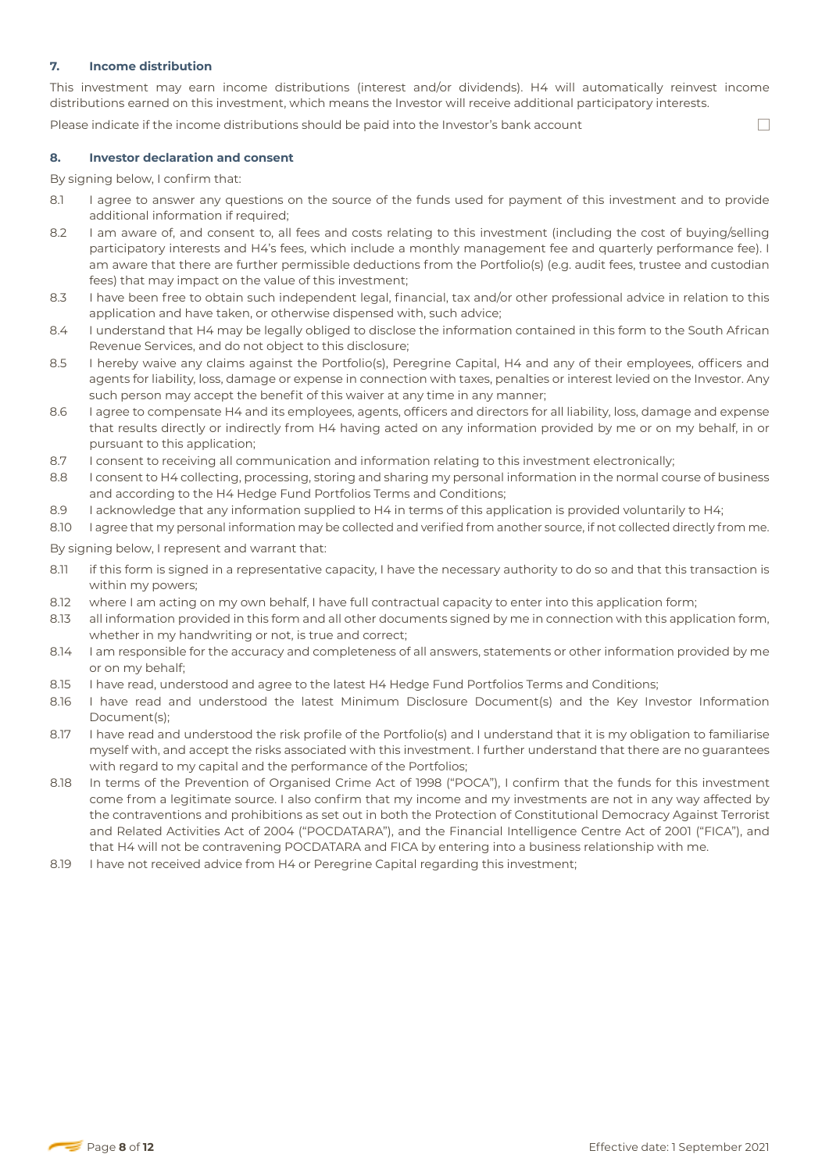## **7. Income distribution**

This investment may earn income distributions (interest and/or dividends). H4 will automatically reinvest income distributions earned on this investment, which means the Investor will receive additional participatory interests.

Please indicate if the income distributions should be paid into the Investor's bank account

#### **8. Investor declaration and consent**

By signing below, I confirm that:

- 8.1 I agree to answer any questions on the source of the funds used for payment of this investment and to provide additional information if required;
- 8.2 I am aware of, and consent to, all fees and costs relating to this investment (including the cost of buying/selling participatory interests and H4's fees, which include a monthly management fee and quarterly performance fee). I am aware that there are further permissible deductions from the Portfolio(s) (e.g. audit fees, trustee and custodian fees) that may impact on the value of this investment;
- 8.3 I have been free to obtain such independent legal, financial, tax and/or other professional advice in relation to this application and have taken, or otherwise dispensed with, such advice;
- 8.4 I understand that H4 may be legally obliged to disclose the information contained in this form to the South African Revenue Services, and do not object to this disclosure;
- 8.5 I hereby waive any claims against the Portfolio(s), Peregrine Capital, H4 and any of their employees, officers and agents for liability, loss, damage or expense in connection with taxes, penalties or interest levied on the Investor. Any such person may accept the benefit of this waiver at any time in any manner;
- 8.6 I agree to compensate H4 and its employees, agents, officers and directors for all liability, loss, damage and expense that results directly or indirectly from H4 having acted on any information provided by me or on my behalf, in or pursuant to this application;
- 8.7 I consent to receiving all communication and information relating to this investment electronically;
- 8.8 I consent to H4 collecting, processing, storing and sharing my personal information in the normal course of business and according to the H4 Hedge Fund Portfolios Terms and Conditions;
- 8.9 I acknowledge that any information supplied to H4 in terms of this application is provided voluntarily to H4;
- 8.10 I agree that my personal information may be collected and verified from another source, if not collected directly from me.

By signing below, I represent and warrant that:

- 8.11 if this form is signed in a representative capacity, I have the necessary authority to do so and that this transaction is within my powers;
- 8.12 where I am acting on my own behalf, I have full contractual capacity to enter into this application form;
- 8.13 all information provided in this form and all other documents signed by me in connection with this application form, whether in my handwriting or not, is true and correct;
- 8.14 I am responsible for the accuracy and completeness of all answers, statements or other information provided by me or on my behalf;
- 8.15 I have read, understood and agree to the latest H4 Hedge Fund Portfolios Terms and Conditions;
- 8.16 I have read and understood the latest Minimum Disclosure Document(s) and the Key Investor Information Document(s);
- 8.17 I have read and understood the risk profile of the Portfolio(s) and I understand that it is my obligation to familiarise myself with, and accept the risks associated with this investment. I further understand that there are no guarantees with regard to my capital and the performance of the Portfolios;
- 8.18 In terms of the Prevention of Organised Crime Act of 1998 ("POCA"), I confirm that the funds for this investment come from a legitimate source. I also confirm that my income and my investments are not in any way affected by the contraventions and prohibitions as set out in both the Protection of Constitutional Democracy Against Terrorist and Related Activities Act of 2004 ("POCDATARA"), and the Financial Intelligence Centre Act of 2001 ("FICA"), and that H4 will not be contravening POCDATARA and FICA by entering into a business relationship with me.
- 8.19 I have not received advice from H4 or Peregrine Capital regarding this investment;

П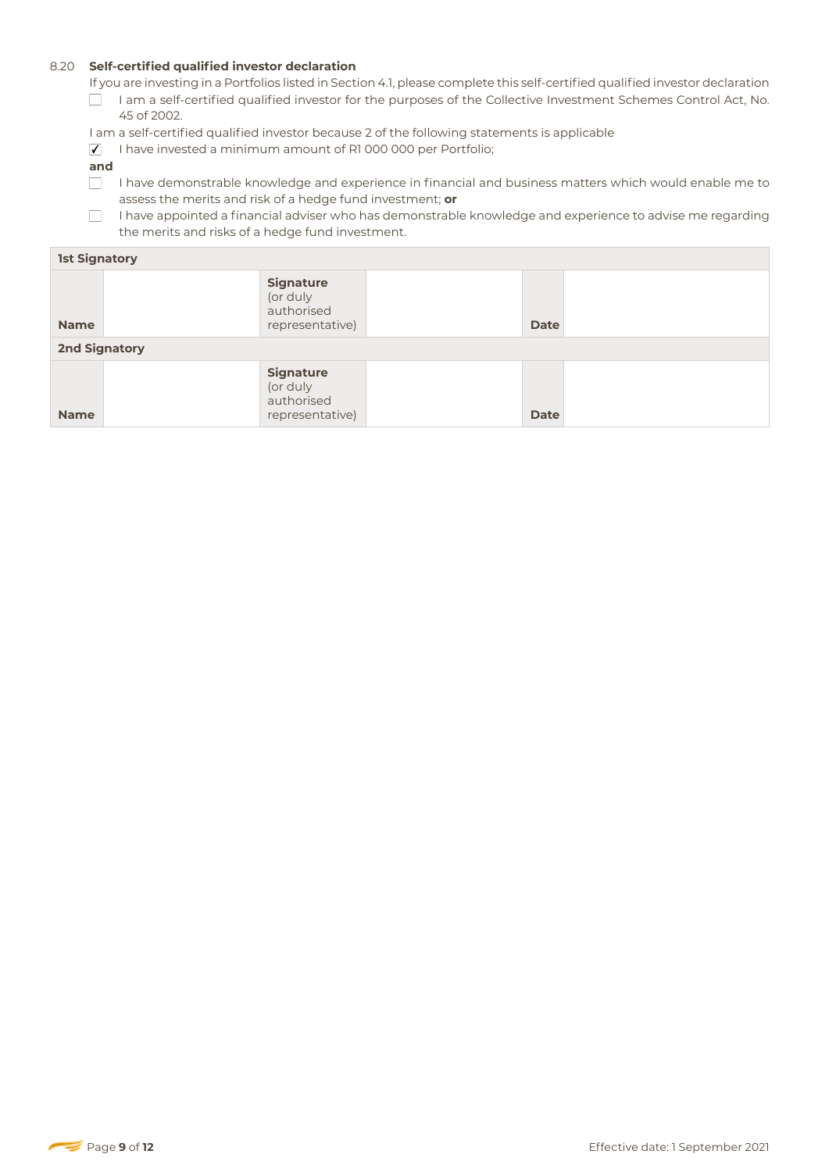## 8.20 **Self-certified qualified investor declaration**

If you are investing in a Portfolios listed in Section 4.1, please complete this self-certified qualified investor declaration I am a self-certified qualified investor for the purposes of the Collective Investment Schemes Control Act, No.

- 45 of 2002.
- I am a self-certified qualified investor because 2 of the following statements is applicable
- $\sqrt{ }$  I have invested a minimum amount of R1 000 000 per Portfolio;
- **and**
- $\Box$  I have demonstrable knowledge and experience in financial and business matters which would enable me to assess the merits and risk of a hedge fund investment; **or**

 $\Box$  I have appointed a financial adviser who has demonstrable knowledge and experience to advise me regarding the merits and risks of a hedge fund investment.

| <b>1st Signatory</b> |                                                               |  |             |  |
|----------------------|---------------------------------------------------------------|--|-------------|--|
| <b>Name</b>          | <b>Signature</b><br>(or duly<br>authorised<br>representative) |  | <b>Date</b> |  |
| <b>2nd Signatory</b> |                                                               |  |             |  |
| <b>Name</b>          | <b>Signature</b><br>(or duly<br>authorised<br>representative) |  | <b>Date</b> |  |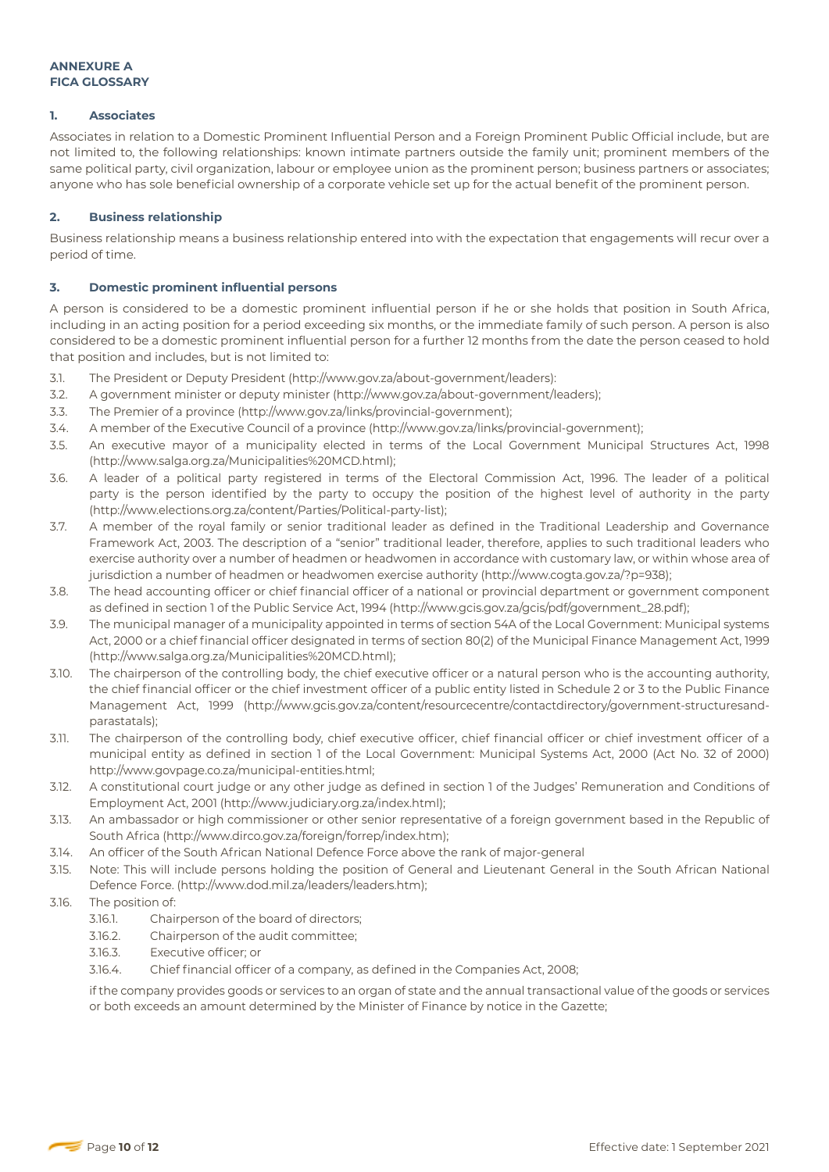## **1. Associates**

Associates in relation to a Domestic Prominent Influential Person and a Foreign Prominent Public Official include, but are not limited to, the following relationships: known intimate partners outside the family unit; prominent members of the same political party, civil organization, labour or employee union as the prominent person; business partners or associates; anyone who has sole beneficial ownership of a corporate vehicle set up for the actual benefit of the prominent person.

## **2. Business relationship**

Business relationship means a business relationship entered into with the expectation that engagements will recur over a period of time.

## **3. Domestic prominent influential persons**

A person is considered to be a domestic prominent influential person if he or she holds that position in South Africa, including in an acting position for a period exceeding six months, or the immediate family of such person. A person is also considered to be a domestic prominent influential person for a further 12 months from the date the person ceased to hold that position and includes, but is not limited to:

- 3.1. The President or Deputy President (http://www.gov.za/about-government/leaders):
- 3.2. A government minister or deputy minister (http://www.gov.za/about-government/leaders);
- 3.3. The Premier of a province (http://www.gov.za/links/provincial-government);
- 3.4. A member of the Executive Council of a province (http://www.gov.za/links/provincial-government);
- 3.5. An executive mayor of a municipality elected in terms of the Local Government Municipal Structures Act, 1998 (http://www.salga.org.za/Municipalities%20MCD.html);
- 3.6. A leader of a political party registered in terms of the Electoral Commission Act, 1996. The leader of a political party is the person identified by the party to occupy the position of the highest level of authority in the party (http://www.elections.org.za/content/Parties/Political-party-list);
- 3.7. A member of the royal family or senior traditional leader as defined in the Traditional Leadership and Governance Framework Act, 2003. The description of a "senior" traditional leader, therefore, applies to such traditional leaders who exercise authority over a number of headmen or headwomen in accordance with customary law, or within whose area of jurisdiction a number of headmen or headwomen exercise authority (http://www.cogta.gov.za/?p=938);
- 3.8. The head accounting officer or chief financial officer of a national or provincial department or government component as defined in section 1 of the Public Service Act, 1994 (http://www.gcis.gov.za/gcis/pdf/government\_28.pdf);
- 3.9. The municipal manager of a municipality appointed in terms of section 54A of the Local Government: Municipal systems Act, 2000 or a chief financial officer designated in terms of section 80(2) of the Municipal Finance Management Act, 1999 (http://www.salga.org.za/Municipalities%20MCD.html);
- 3.10. The chairperson of the controlling body, the chief executive officer or a natural person who is the accounting authority, the chief financial officer or the chief investment officer of a public entity listed in Schedule 2 or 3 to the Public Finance Management Act, 1999 (http://www.gcis.gov.za/content/resourcecentre/contactdirectory/government-structuresandparastatals);
- 3.11. The chairperson of the controlling body, chief executive officer, chief financial officer or chief investment officer of a municipal entity as defined in section 1 of the Local Government: Municipal Systems Act, 2000 (Act No. 32 of 2000) http://www.govpage.co.za/municipal-entities.html;
- 3.12. A constitutional court judge or any other judge as defined in section 1 of the Judges' Remuneration and Conditions of Employment Act, 2001 (http://www.judiciary.org.za/index.html);
- 3.13. An ambassador or high commissioner or other senior representative of a foreign government based in the Republic of South Africa (http://www.dirco.gov.za/foreign/forrep/index.htm);
- 3.14. An officer of the South African National Defence Force above the rank of major-general
- 3.15. Note: This will include persons holding the position of General and Lieutenant General in the South African National Defence Force. (http://www.dod.mil.za/leaders/leaders.htm);

#### 3.16. The position of:

- 3.16.1. Chairperson of the board of directors;
- 3.16.2. Chairperson of the audit committee;
- 3.16.3. Executive officer; or
- 3.16.4. Chief financial officer of a company, as defined in the Companies Act, 2008;

if the company provides goods or services to an organ of state and the annual transactional value of the goods or services or both exceeds an amount determined by the Minister of Finance by notice in the Gazette;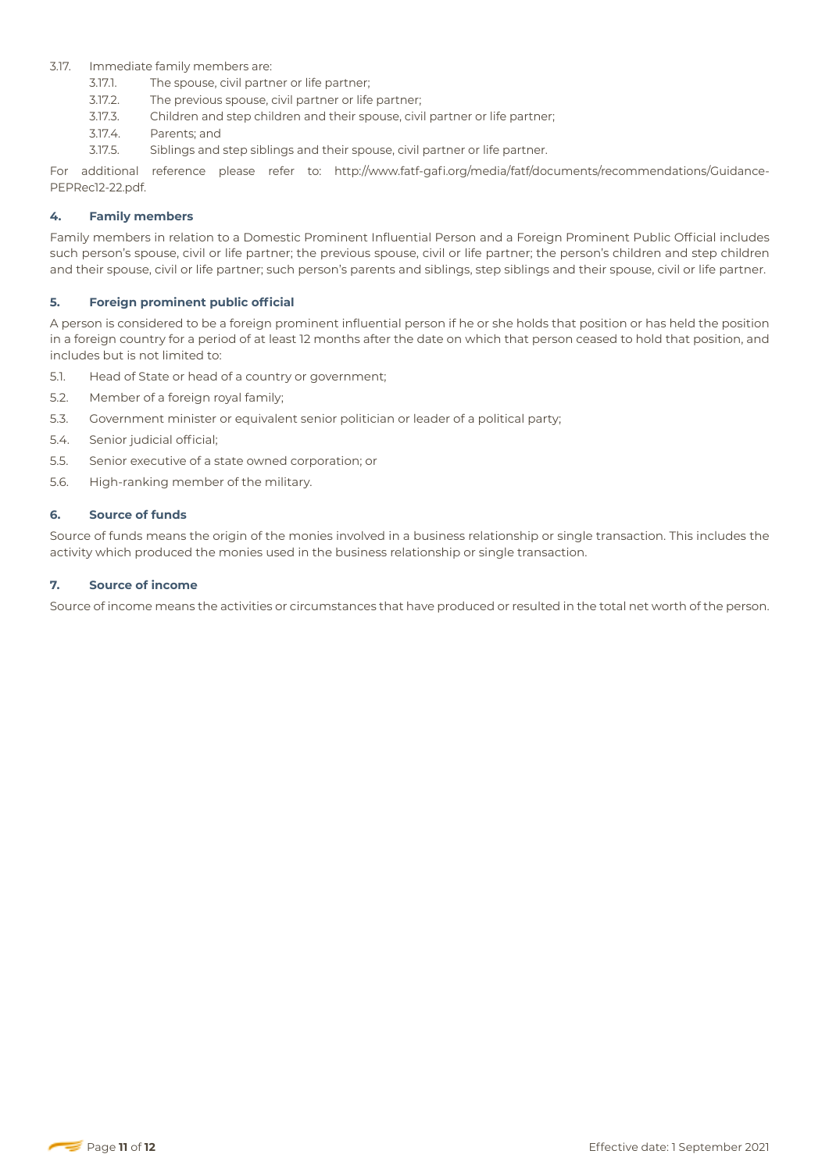## 3.17. Immediate family members are:

- 3.17.1. The spouse, civil partner or life partner;
- 3.17.2. The previous spouse, civil partner or life partner;
- 3.17.3. Children and step children and their spouse, civil partner or life partner;
- 3.17.4. Parents; and
- 3.17.5. Siblings and step siblings and their spouse, civil partner or life partner.

For additional reference please refer to: http://www.fatf-gafi.org/media/fatf/documents/recommendations/Guidance-PEPRec12-22.pdf.

## **4. Family members**

Family members in relation to a Domestic Prominent Influential Person and a Foreign Prominent Public Official includes such person's spouse, civil or life partner; the previous spouse, civil or life partner; the person's children and step children and their spouse, civil or life partner; such person's parents and siblings, step siblings and their spouse, civil or life partner.

## **5. Foreign prominent public official**

A person is considered to be a foreign prominent influential person if he or she holds that position or has held the position in a foreign country for a period of at least 12 months after the date on which that person ceased to hold that position, and includes but is not limited to:

- 5.1. Head of State or head of a country or government;
- 5.2. Member of a foreign royal family;
- 5.3. Government minister or equivalent senior politician or leader of a political party;
- 5.4. Senior judicial official;
- 5.5. Senior executive of a state owned corporation; or
- 5.6. High-ranking member of the military.

#### **6. Source of funds**

Source of funds means the origin of the monies involved in a business relationship or single transaction. This includes the activity which produced the monies used in the business relationship or single transaction.

#### **7. Source of income**

Source of income means the activities or circumstances that have produced or resulted in the total net worth of the person.